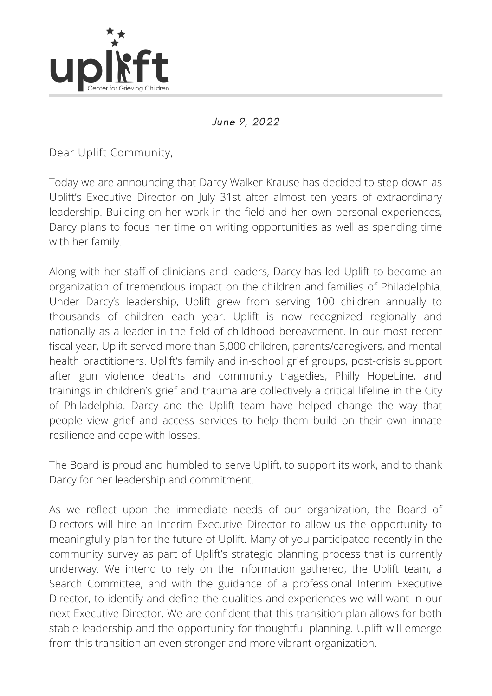

June 9, 2022

Dear Uplift Community,

Today we are announcing that Darcy Walker Krause has decided to step down as Uplift's Executive Director on July 31st after almost ten years of extraordinary leadership. Building on her work in the field and her own personal experiences, Darcy plans to focus her time on writing opportunities as well as spending time with her family.

Along with her staff of clinicians and leaders, Darcy has led Uplift to become an organization of tremendous impact on the children and families of Philadelphia. Under Darcy's leadership, Uplift grew from serving 100 children annually to thousands of children each year. Uplift is now recognized regionally and nationally as a leader in the field of childhood bereavement. In our most recent fiscal year, Uplift served more than 5,000 children, parents/caregivers, and mental health practitioners. Uplift's family and in-school grief groups, post-crisis support after gun violence deaths and community tragedies, Philly HopeLine, and trainings in children's grief and trauma are collectively a critical lifeline in the City of Philadelphia. Darcy and the Uplift team have helped change the way that people view grief and access services to help them build on their own innate resilience and cope with losses.

The Board is proud and humbled to serve Uplift, to support its work, and to thank Darcy for her leadership and commitment.

As we reflect upon the immediate needs of our organization, the Board of Directors will hire an Interim Executive Director to allow us the opportunity to meaningfully plan for the future of Uplift. Many of you participated recently in the community survey as part of Uplift's strategic planning process that is currently underway. We intend to rely on the information gathered, the Uplift team, a Search Committee, and with the guidance of a professional Interim Executive Director, to identify and define the qualities and experiences we will want in our next Executive Director. We are confident that this transition plan allows for both stable leadership and the opportunity for thoughtful planning. Uplift will emerge from this transition an even stronger and more vibrant organization.